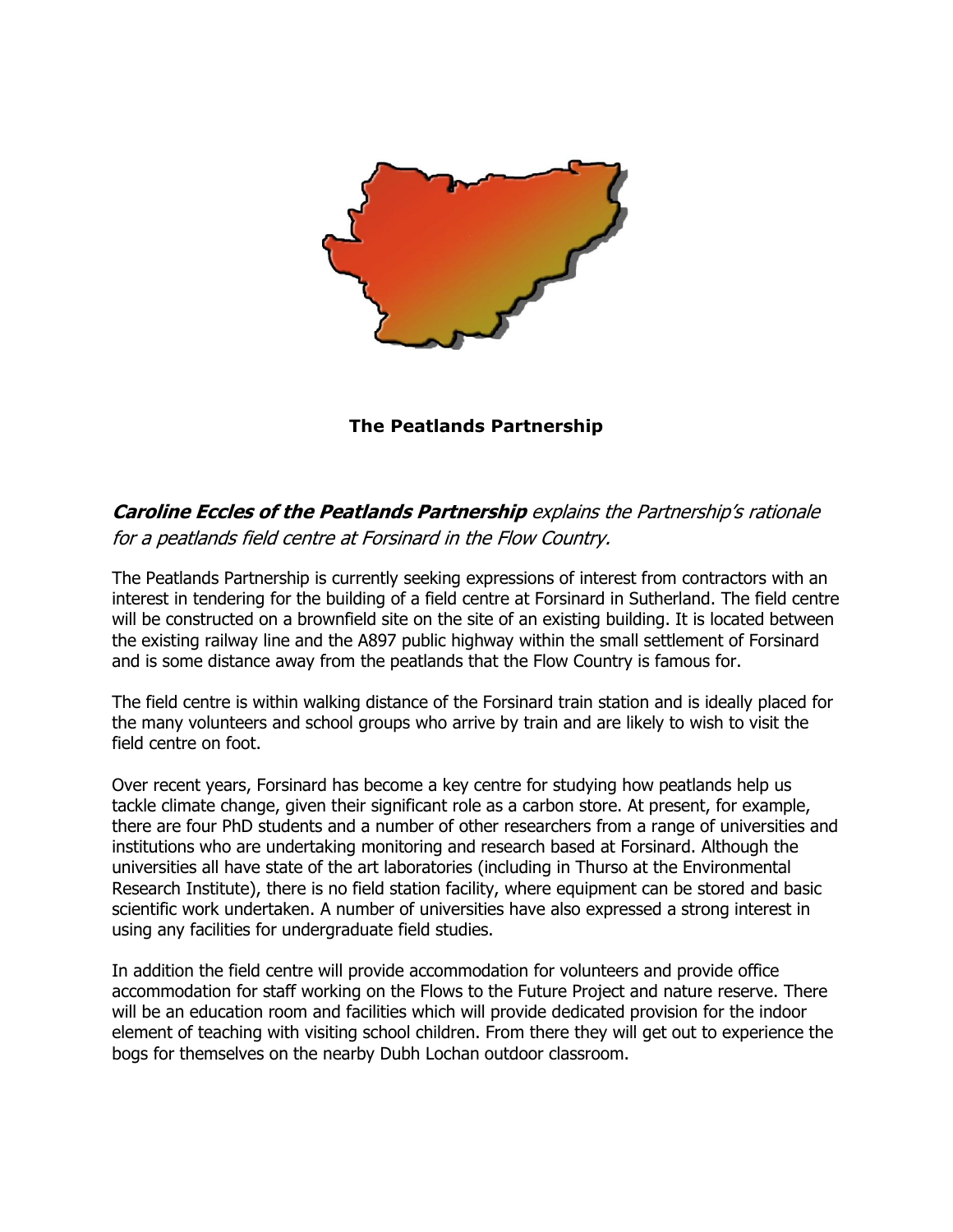

**The Peatlands Partnership**

## **Caroline Eccles of the Peatlands Partnership** explains the Partnership's rationale for a peatlands field centre at Forsinard in the Flow Country.

The Peatlands Partnership is currently seeking expressions of interest from contractors with an interest in tendering for the building of a field centre at Forsinard in Sutherland. The field centre will be constructed on a brownfield site on the site of an existing building. It is located between the existing railway line and the A897 public highway within the small settlement of Forsinard and is some distance away from the peatlands that the Flow Country is famous for.

The field centre is within walking distance of the Forsinard train station and is ideally placed for the many volunteers and school groups who arrive by train and are likely to wish to visit the field centre on foot.

Over recent years, Forsinard has become a key centre for studying how peatlands help us tackle climate change, given their significant role as a carbon store. At present, for example, there are four PhD students and a number of other researchers from a range of universities and institutions who are undertaking monitoring and research based at Forsinard. Although the universities all have state of the art laboratories (including in Thurso at the Environmental Research Institute), there is no field station facility, where equipment can be stored and basic scientific work undertaken. A number of universities have also expressed a strong interest in using any facilities for undergraduate field studies.

In addition the field centre will provide accommodation for volunteers and provide office accommodation for staff working on the Flows to the Future Project and nature reserve. There will be an education room and facilities which will provide dedicated provision for the indoor element of teaching with visiting school children. From there they will get out to experience the bogs for themselves on the nearby Dubh Lochan outdoor classroom.